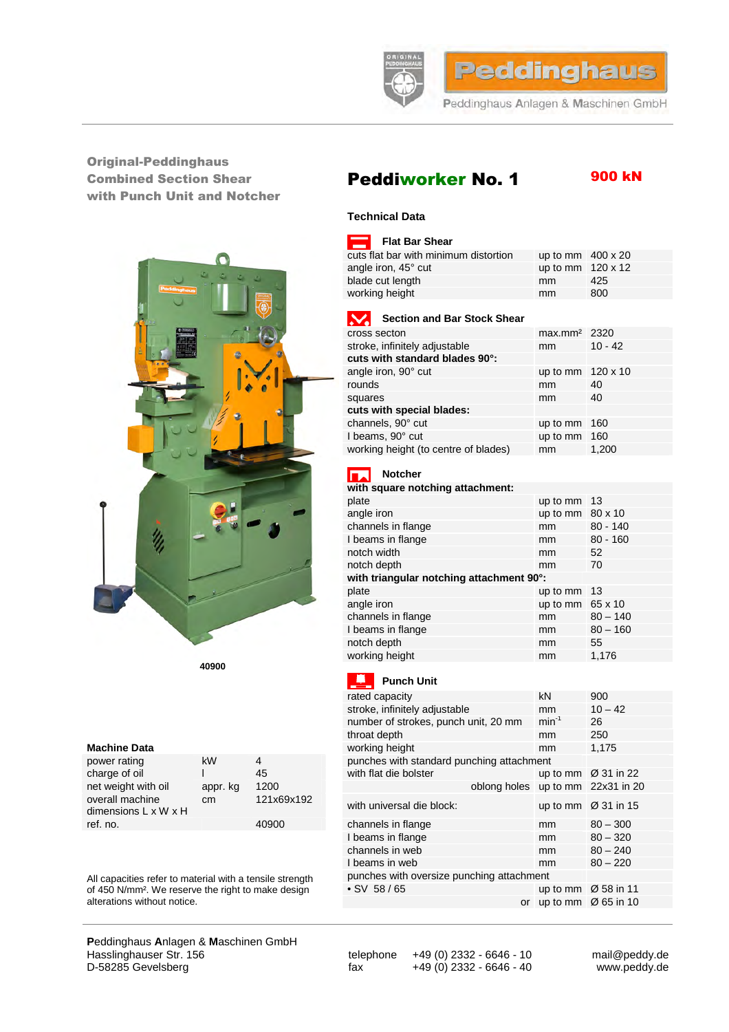

## Original-Peddinghaus Combined Section Shear with Punch Unit and Notcher



**40900**

### **Machine Data**

| power rating                                        | kW       |            | punches with standard punching attachment |    |
|-----------------------------------------------------|----------|------------|-------------------------------------------|----|
| charge of oil                                       |          | 45         | with flat die bolster                     | up |
| net weight with oil                                 | appr. kg | 1200       | oblong holes up                           |    |
| overall machine<br>dimensions $L \times W \times H$ | cm       | 121x69x192 | with universal die block:                 | up |
| ref. no.                                            |          | 40900      | channels in flange                        | mm |

# **P**eddinghaus **A**nlagen & **M**aschinen GmbH Hasslinghauser Str. 156 telephone +49 (0) 2332 - 6646 - 10 mail@peddy.de<br>D-58285 Gevelsberg fax +49 (0) 2332 - 6646 - 40 www.peddy.de

 $\frac{1}{49}$  (0) 2332 - 6646 - 40

# Peddiworker No. 1

# 900 kN

### **Technical Data**

| Flat Bar Shear                        |                          |     |
|---------------------------------------|--------------------------|-----|
| cuts flat bar with minimum distortion | up to mm $400 \times 20$ |     |
| angle iron, 45° cut                   | up to mm $120 \times 12$ |     |
| blade cut length                      | mm                       | 425 |
| working height                        | mm                       | 800 |
|                                       |                          |     |

| <b>Section and Bar Stock Shear</b>   |                          |           |
|--------------------------------------|--------------------------|-----------|
| cross secton                         | max.mm <sup>2</sup> 2320 |           |
| stroke, infinitely adjustable        | mm                       | $10 - 42$ |
| cuts with standard blades 90°:       |                          |           |
| angle iron, 90° cut                  | up to mm 120 x 10        |           |
| rounds                               | mm                       | 40        |
| squares                              | mm                       | 40        |
| cuts with special blades:            |                          |           |
| channels, 90° cut                    | up to mm                 | -160      |
| I beams, 90° cut                     | up to mm 160             |           |
| working height (to centre of blades) | mm                       | 1.200     |

#### $\overline{\phantom{a}}$ **Notcher**

| with square notching attachment:         |                         |            |  |  |
|------------------------------------------|-------------------------|------------|--|--|
| plate                                    | up to mm                | -13        |  |  |
| angle iron                               | up to mm $80 \times 10$ |            |  |  |
| channels in flange                       | mm                      | $80 - 140$ |  |  |
| I beams in flange                        | mm                      | $80 - 160$ |  |  |
| notch width                              | mm                      | 52         |  |  |
| notch depth                              | mm                      | 70         |  |  |
| with triangular notching attachment 90°: |                         |            |  |  |
| plate                                    | up to mm                | -13        |  |  |
| angle iron                               | up to mm $65 \times 10$ |            |  |  |
| channels in flange                       | mm                      | $80 - 140$ |  |  |
| I beams in flange                        | mm                      | $80 - 160$ |  |  |
| notch depth                              | mm                      | 55         |  |  |
| working height                           | mm                      | 1,176      |  |  |

## **Punch Unit**

|                                                                                               |          |                                           | rated capacity                            | kN            | 900                             |  |
|-----------------------------------------------------------------------------------------------|----------|-------------------------------------------|-------------------------------------------|---------------|---------------------------------|--|
| <b>Machine Data</b>                                                                           |          |                                           | stroke, infinitely adjustable<br>mm       |               | $10 - 42$                       |  |
|                                                                                               |          |                                           | number of strokes, punch unit, 20 mm      | $min^{-1}$    | 26                              |  |
|                                                                                               |          |                                           | throat depth                              | <sub>mm</sub> | 250                             |  |
|                                                                                               |          |                                           | working height                            | mm            | 1,175                           |  |
| power rating                                                                                  | kW       | 4                                         | punches with standard punching attachment |               |                                 |  |
| charge of oil                                                                                 |          | 45                                        | with flat die bolster                     |               | up to mm $\varnothing$ 31 in 22 |  |
| net weight with oil                                                                           | appr. kg | 1200                                      | oblong holes                              |               | up to mm $22x31$ in 20          |  |
| overall machine<br>dimensions L x W x H                                                       | cm       | 121x69x192                                | with universal die block:                 |               | up to mm $\varnothing$ 31 in 15 |  |
| ref. no.                                                                                      |          | 40900                                     | channels in flange                        | mm            | $80 - 300$                      |  |
|                                                                                               |          |                                           | I beams in flange                         | mm            | $80 - 320$                      |  |
|                                                                                               |          |                                           | channels in web                           | mm            | $80 - 240$                      |  |
|                                                                                               |          |                                           | beams in web                              | mm            | $80 - 220$                      |  |
| All capacities refer to material with a tensile strength                                      |          | punches with oversize punching attachment |                                           |               |                                 |  |
| of 450 N/mm <sup>2</sup> . We reserve the right to make design<br>alterations without notice. |          |                                           | $\cdot$ SV 58/65                          |               | up to mm $\varnothing$ 58 in 11 |  |
|                                                                                               |          |                                           | or                                        |               | up to mm $\varnothing$ 65 in 10 |  |
|                                                                                               |          |                                           |                                           |               |                                 |  |